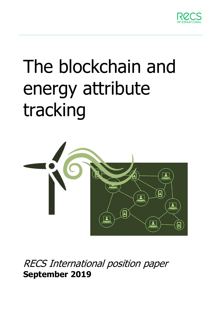

# The blockchain and energy attribute tracking



RECS International position paper **September 2019**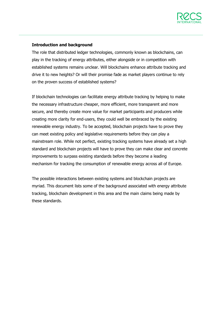

2/9

### **Introduction and background**

The role that distributed ledger technologies, commonly known as blockchains, can play in the tracking of energy attributes, either alongside or in competition with established systems remains unclear. Will blockchains enhance attribute tracking and drive it to new heights? Or will their promise fade as market players continue to rely on the proven success of established systems?

If blockchain technologies can facilitate energy attribute tracking by helping to make the necessary infrastructure cheaper, more efficient, more transparent and more secure, and thereby create more value for market participants and producers while creating more clarity for end-users, they could well be embraced by the existing renewable energy industry. To be accepted, blockchain projects have to prove they can meet existing policy and legislative requirements before they can play a mainstream role. While not perfect, existing tracking systems have already set a high standard and blockchain projects will have to prove they can make clear and concrete improvements to surpass existing standards before they become a leading mechanism for tracking the consumption of renewable energy across all of Europe.

The possible interactions between existing systems and blockchain projects are myriad. This document lists some of the background associated with energy attribute tracking, blockchain development in this area and the main claims being made by these standards.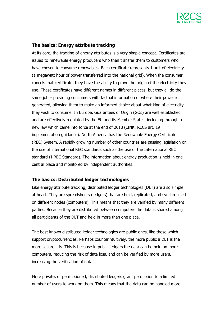

## **The basics: Energy attribute tracking**

At its core, the tracking of energy attributes is a very simple concept. Certificates are issued to renewable energy producers who then transfer them to customers who have chosen to consume renewables. Each certificate represents 1 unit of electricity (a megawatt hour of power transferred into the national grid). When the consumer cancels that certificate, they have the ability to prove the origin of the electricity they use. These certificates have different names in different places, but they all do the same job – providing consumers with factual information of where their power is generated, allowing them to make an informed choice about what kind of electricity they wish to consume. In Europe, Guarantees of Origin (GOs) are well established and are effectively regulated by the EU and its Member States, including through a new law which came into force at the end of 2018 (LINK: RECS art. 19 implementation guidance). North America has the Renewable Energy Certificate (REC) System. A rapidly growing number of other countries are passing legislation on the use of international REC standards such as the use of the International REC standard (I-REC Standard). The information about energy production is held in one central place and monitored by independent authorities.

### **The basics: Distributed ledger technologies**

Like energy attribute tracking, distributed ledger technologies (DLT) are also simple at heart. They are spreadsheets (ledgers) that are held, replicated, and synchronised on different nodes (computers). This means that they are verified by many different parties. Because they are distributed between computers the data is shared among all participants of the DLT and held in more than one place.

The best-known distributed ledger technologies are public ones, like those which support cryptocurrencies. Perhaps counterintuitively, the more public a DLT is the more secure it is. This is because in public ledgers the data can be held on more computers, reducing the risk of data loss, and can be verified by more users, increasing the verification of data.

More private, or permissioned, distributed ledgers grant permission to a limited number of users to work on them. This means that the data can be handled more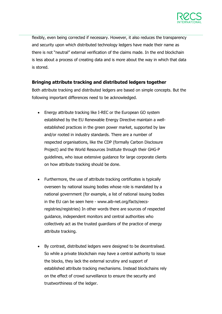

flexibly, even being corrected if necessary. However, it also reduces the transparency and security upon which distributed technology ledgers have made their name as there is not "neutral" external verification of the claims made. In the end blockchain is less about a process of creating data and is more about the way in which that data is stored.

## **Bringing attribute tracking and distributed ledgers together**

Both attribute tracking and distributed ledgers are based on simple concepts. But the following important differences need to be acknowledged.

- Energy attribute tracking like I-REC or the European GO system established by the EU Renewable Energy Directive maintain a wellestablished practices in the green power market, supported by law and/or rooted in industry standards. There are a number of respected organisations, like the CDP (formally Carbon Disclosure Project) and the World Resources Institute through their GHG-P guidelines, who issue extensive guidance for large corporate clients on how attribute tracking should be done.
- Furthermore, the use of attribute tracking certificates is typically overseen by national issuing bodies whose role is mandated by a national government (for example, a list of national issuing bodies in the EU can be seen here - www.aib-net.org/facts/eecsregistries/registries) In other words there are sources of respected guidance, independent monitors and central authorities who collectively act as the trusted guardians of the practice of energy attribute tracking.
- By contrast, distributed ledgers were designed to be decentralised. So while a private blockchain may have a central authority to issue the blocks, they lack the external scrutiny and support of established attribute tracking mechanisms. Instead blockchains rely on the effect of crowd surveillance to ensure the security and trustworthiness of the ledger.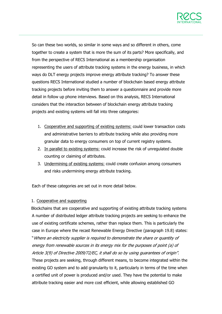

So can these two worlds, so similar in some ways and so different in others, come together to create a system that is more the sum of its parts? More specifically, and from the perspective of RECS International as a membership organisation representing the users of attribute tracking systems in the energy business, in which ways do DLT energy projects improve energy attribute tracking? To answer these questions RECS International studied a number of blockchain based energy attribute tracking projects before inviting them to answer a questionnaire and provide more detail in follow up phone interviews. Based on this analysis, RECS International considers that the interaction between of blockchain energy attribute tracking projects and existing systems will fall into three categories:

- 1. Cooperative and supporting of existing systems: could lower transaction costs and administrative barriers to attribute tracking while also providing more granular data to energy consumers on top of current registry systems.
- 2. In parallel to existing systems: could increase the risk of unregulated double counting or claiming of attributes.
- 3. Undermining of existing systems: could create confusion among consumers and risks undermining energy attribute tracking.

Each of these categories are set out in more detail below.

### 1. Cooperative and supporting

Blockchains that are cooperative and supporting of existing attribute tracking systems A number of distributed ledger attribute tracking projects are seeking to enhance the use of existing certificate schemes, rather than replace them. This is particularly the case in Europe where the recast Renewable Energy Directive (paragraph 19.8) states: "Where an electricity supplier is required to demonstrate the share or quantity of energy from renewable sources in its energy mix for the purposes of point (a) of Article 3(9) of Directive 2009/72/EC, it shall do so by using guarantees of origin". These projects are seeking, through different means, to become integrated within the existing GO system and to add granularity to it, particularly in terms of the time when a certified unit of power is produced and/or used. They have the potential to make attribute tracking easier and more cost efficient, while allowing established GO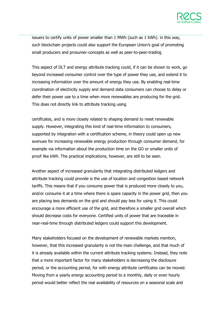

issuers to certify units of power smaller than 1 MWh (such as 1 kWh). in this way, such blockchain projects could also support the European Union's goal of promoting small producers and prosumer-concepts as well as peer-to-peer-trading

This aspect of DLT and energy attribute tracking could, if it can be shown to work, go beyond increased consumer control over the type of power they use, and extend it to increasing information over the amount of energy they use. By enabling real-time coordination of electricity supply and demand data consumers can choose to delay or defer their power use to a time when more renewables are producing for the grid. This does not directly link to attribute tracking using

certificates, and is more closely related to shaping demand to meet renewable supply. However, integrating this kind of real-time information to consumers, supported by integration with a certification scheme, in theory could open up new avenues for increasing renewable energy production through consumer demand, for example via information about the production time on the GO or smaller units of proof like kWh. The practical implications, however, are still to be seen.

Another aspect of increased granularity that integrating distributed ledgers and attribute tracking could provide is the use of location and congestion based network tariffs. This means that if you consume power that is produced more closely to you, and/or consume it at a time where there is spare capacity in the power grid, then you are placing less demands on the grid and should pay less for using it. This could encourage a more efficient use of the grid, and therefore a smaller grid overall which should decrease costs for everyone. Certified units of power that are traceable in near-real-time through distributed ledgers could support this development.

Many stakeholders focused on the development of renewable markets mention, however, that this increased granularity is not the main challenge, and that much of it is already available within the current attribute tracking systems. Instead, they note that a more important factor for many stakeholders is decreasing the disclosure period, or the accounting period, for with energy attribute certificates can be moved. Moving from a yearly energy accounting period to a monthly, daily or even hourly period would better reflect the real availability of resources on a seasonal scale and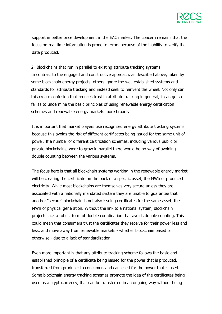

support in better price development in the EAC market. The concern remains that the focus on real-time information is prone to errors because of the inability to verify the data produced.

#### 2. Blockchains that run in parallel to existing attribute tracking systems

In contrast to the engaged and constructive approach, as described above, taken by some blockchain energy projects, others ignore the well-established systems and standards for attribute tracking and instead seek to reinvent the wheel. Not only can this create confusion that reduces trust in attribute tracking in general, it can go so far as to undermine the basic principles of using renewable energy certification schemes and renewable energy markets more broadly.

It is important that market players use recognised energy attribute tracking systems because this avoids the risk of different certificates being issued for the same unit of power. If a number of different certification schemes, including various public or private blockchains, were to grow in parallel there would be no way of avoiding double counting between the various systems.

The focus here is that all blockchain systems working in the renewable energy market will be creating the certificate on the back of a specific asset, the MWh of produced electricity. While most blockchains are themselves very secure unless they are associated with a nationally mandated system they are unable to guarantee that another "secure" blockchain is not also issuing certificates for the same asset, the MWh of physical generation. Without the link to a national system, blockchain projects lack a robust form of double coordination that avoids double counting. This could mean that consumers trust the certificates they receive for their power less and less, and move away from renewable markets - whether blockchain based or otherwise - due to a lack of standardization.

Even more important is that any attribute tracking scheme follows the basic and established principle of a certificate being issued for the power that is produced, transferred from producer to consumer, and cancelled for the power that is used. Some blockchain energy tracking schemes promote the idea of the certificates being used as a cryptocurrency, that can be transferred in an ongoing way without being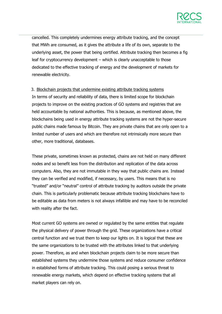

cancelled. This completely undermines energy attribute tracking, and the concept that MWh are consumed, as it gives the attribute a life of its own, separate to the underlying asset, the power that being certified. Attribute tracking then becomes a fig leaf for cryptocurrency development – which is clearly unacceptable to those dedicated to the effective tracking of energy and the development of markets for renewable electricity.

3. Blockchain projects that undermine existing attribute tracking systems In terms of security and reliability of data, there is limited scope for blockchain projects to improve on the existing practices of GO systems and registries that are held accountable by national authorities. This is because, as mentioned above, the blockchains being used in energy attribute tracking systems are not the hyper-secure public chains made famous by Bitcoin. They are private chains that are only open to a limited number of users and which are therefore not intrinsically more secure than other, more traditional, databases.

These private, sometimes known as protected, chains are not held on many different nodes and so benefit less from the distribution and replication of the data across computers. Also, they are not immutable in they way that public chains are. Instead they can be verified and modified, if necessary, by users. This means that is no "trusted" and/or "neutral" control of attribute tracking by auditors outside the private chain. This is particularly problematic because attribute tracking blockchains have to be editable as data from meters is not always infallible and may have to be reconciled with reality after the fact.

Most current GO systems are owned or regulated by the same entities that regulate the physical delivery of power through the grid. These organizations have a critical central function and we trust them to keep our lights on. It is logical that these are the same organizations to be trusted with the attributes linked to that underlying power. Therefore, as and when blockchain projects claim to be more secure than established systems they undermine those systems and reduce consumer confidence in established forms of attribute tracking. This could posing a serious threat to renewable energy markets, which depend on effective tracking systems that all market players can rely on.